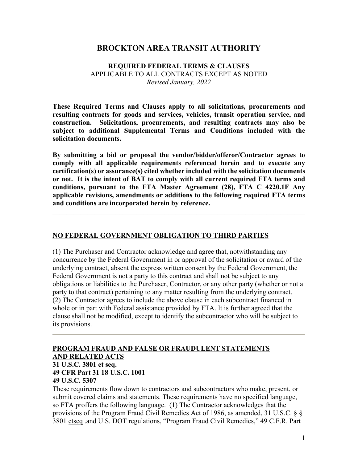## **BROCKTON AREA TRANSIT AUTHORITY**

### **REQUIRED FEDERAL TERMS & CLAUSES** APPLICABLE TO ALL CONTRACTS EXCEPT AS NOTED *Revised January, 2022*

**These Required Terms and Clauses apply to all solicitations, procurements and resulting contracts for goods and services, vehicles, transit operation service, and construction. Solicitations, procurements, and resulting contracts may also be subject to additional Supplemental Terms and Conditions included with the solicitation documents.** 

**By submitting a bid or proposal the vendor/bidder/offeror/Contractor agrees to comply with all applicable requirements referenced herein and to execute any certification(s) or assurance(s) cited whether included with the solicitation documents or not. It is the intent of BAT to comply with all current required FTA terms and conditions, pursuant to the FTA Master Agreement (28), FTA C 4220.1F Any applicable revisions, amendments or additions to the following required FTA terms and conditions are incorporated herein by reference.** 

 $\mathcal{L}_\text{G}$  , and the contribution of the contribution of the contribution of the contribution of the contribution of the contribution of the contribution of the contribution of the contribution of the contribution of t

#### **NO FEDERAL GOVERNMENT OBLIGATION TO THIRD PARTIES**

(1) The Purchaser and Contractor acknowledge and agree that, notwithstanding any concurrence by the Federal Government in or approval of the solicitation or award of the underlying contract, absent the express written consent by the Federal Government, the Federal Government is not a party to this contract and shall not be subject to any obligations or liabilities to the Purchaser, Contractor, or any other party (whether or not a party to that contract) pertaining to any matter resulting from the underlying contract. (2) The Contractor agrees to include the above clause in each subcontract financed in whole or in part with Federal assistance provided by FTA. It is further agreed that the clause shall not be modified, except to identify the subcontractor who will be subject to its provisions.

## **PROGRAM FRAUD AND FALSE OR FRAUDULENT STATEMENTS AND RELATED ACTS**

#### **31 U.S.C. 3801 et seq. 49 CFR Part 31 18 U.S.C. 1001 49 U.S.C. 5307**

These requirements flow down to contractors and subcontractors who make, present, or submit covered claims and statements. These requirements have no specified language, so FTA proffers the following language. (1) The Contractor acknowledges that the provisions of the Program Fraud Civil Remedies Act of 1986, as amended, 31 U.S.C. § § 3801 etseq .and U.S. DOT regulations, "Program Fraud Civil Remedies," 49 C.F.R. Part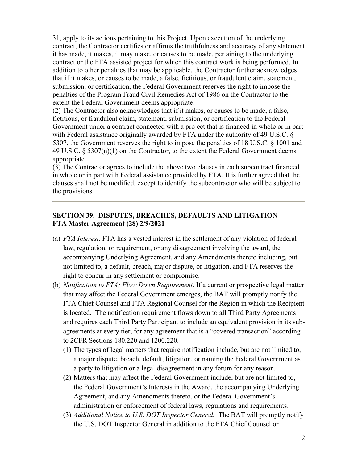31, apply to its actions pertaining to this Project. Upon execution of the underlying contract, the Contractor certifies or affirms the truthfulness and accuracy of any statement it has made, it makes, it may make, or causes to be made, pertaining to the underlying contract or the FTA assisted project for which this contract work is being performed. In addition to other penalties that may be applicable, the Contractor further acknowledges that if it makes, or causes to be made, a false, fictitious, or fraudulent claim, statement, submission, or certification, the Federal Government reserves the right to impose the penalties of the Program Fraud Civil Remedies Act of 1986 on the Contractor to the extent the Federal Government deems appropriate.

(2) The Contractor also acknowledges that if it makes, or causes to be made, a false, fictitious, or fraudulent claim, statement, submission, or certification to the Federal Government under a contract connected with a project that is financed in whole or in part with Federal assistance originally awarded by FTA under the authority of 49 U.S.C. § 5307, the Government reserves the right to impose the penalties of 18 U.S.C. § 1001 and 49 U.S.C. § 5307(n)(1) on the Contractor, to the extent the Federal Government deems appropriate.

(3) The Contractor agrees to include the above two clauses in each subcontract financed in whole or in part with Federal assistance provided by FTA. It is further agreed that the clauses shall not be modified, except to identify the subcontractor who will be subject to the provisions.

## **SECTION 39. DISPUTES, BREACHES, DEFAULTS AND LITIGATION FTA Master Agreement (28) 2/9/2021**

- (a) *FTA Interest*. FTA has a vested interest in the settlement of any violation of federal law, regulation, or requirement, or any disagreement involving the award, the accompanying Underlying Agreement, and any Amendments thereto including, but not limited to, a default, breach, major dispute, or litigation, and FTA reserves the right to concur in any settlement or compromise.
- (b) *Notification to FTA; Flow Down Requirement.* If a current or prospective legal matter that may affect the Federal Government emerges, the BAT will promptly notify the FTA Chief Counsel and FTA Regional Counsel for the Region in which the Recipient is located. The notification requirement flows down to all Third Party Agreements and requires each Third Party Participant to include an equivalent provision in its subagreements at every tier, for any agreement that is a "covered transaction" according to 2CFR Sections 180.220 and 1200.220.
	- (1) The types of legal matters that require notification include, but are not limited to, a major dispute, breach, default, litigation, or naming the Federal Government as a party to litigation or a legal disagreement in any forum for any reason.
	- (2) Matters that may affect the Federal Government include, but are not limited to, the Federal Government's Interests in the Award, the accompanying Underlying Agreement, and any Amendments thereto, or the Federal Government's administration or enforcement of federal laws, regulations and requirements.
	- (3) *Additional Notice to U.S. DOT Inspector General.* The BAT will promptly notify the U.S. DOT Inspector General in addition to the FTA Chief Counsel or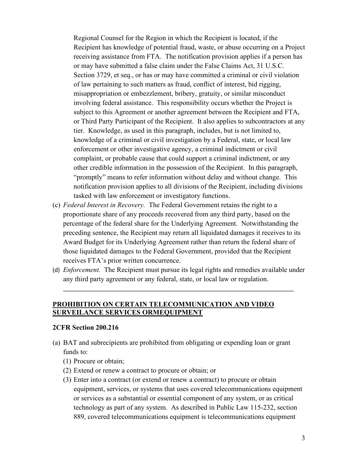Regional Counsel for the Region in which the Recipient is located, if the Recipient has knowledge of potential fraud, waste, or abuse occurring on a Project receiving assistance from FTA. The notification provision applies if a person has or may have submitted a false claim under the False Claims Act, 31 U.S.C. Section 3729, et seq., or has or may have committed a criminal or civil violation of law pertaining to such matters as fraud, conflict of interest, bid rigging, misappropriation or embezzlement, bribery, gratuity, or similar misconduct involving federal assistance. This responsibility occurs whether the Project is subject to this Agreement or another agreement between the Recipient and FTA, or Third Party Participant of the Recipient. It also applies to subcontractors at any tier. Knowledge, as used in this paragraph, includes, but is not limited to, knowledge of a criminal or civil investigation by a Federal, state, or local law enforcement or other investigative agency, a criminal indictment or civil complaint, or probable cause that could support a criminal indictment, or any other credible information in the possession of the Recipient. In this paragraph, "promptly" means to refer information without delay and without change. This notification provision applies to all divisions of the Recipient, including divisions tasked with law enforcement or investigatory functions.

- (c) *Federal Interest in Recovery.* The Federal Government retains the right to a proportionate share of any proceeds recovered from any third party, based on the percentage of the federal share for the Underlying Agreement. Notwithstanding the preceding sentence, the Recipient may return all liquidated damages it receives to its Award Budget for its Underlying Agreement rather than return the federal share of those liquidated damages to the Federal Government, provided that the Recipient receives FTA's prior written concurrence.
- (d) *Enforcement.* The Recipient must pursue its legal rights and remedies available under any third party agreement or any federal, state, or local law or regulation.

\_\_\_\_\_\_\_\_\_\_\_\_\_\_\_\_\_\_\_\_\_\_\_\_\_\_\_\_\_\_\_\_\_\_\_\_\_\_\_\_\_\_\_\_\_\_\_\_\_\_\_\_\_\_\_\_\_\_\_\_\_\_\_\_\_\_\_\_\_\_\_\_

### **PROHIBITION ON CERTAIN TELECOMMUNICATION AND VIDEO SURVEILANCE SERVICES ORMEQUIPMENT**

#### **2CFR Section 200.216**

- (a) BAT and subrecipients are prohibited from obligating or expending loan or grant funds to:
	- (1) Procure or obtain;
	- (2) Extend or renew a contract to procure or obtain; or
	- (3) Enter into a contract (or extend or renew a contract) to procure or obtain equipment, services, or systems that uses covered telecommunications equipment or services as a substantial or essential component of any system, or as critical technology as part of any system. As described in Public Law 115-232, section 889, covered telecommunications equipment is telecommunications equipment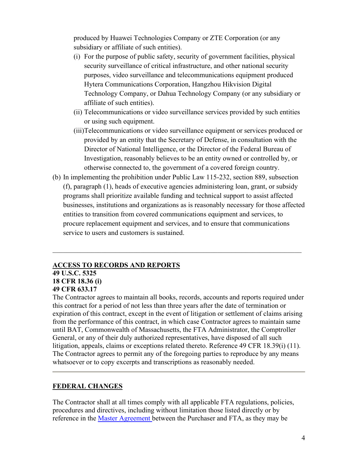produced by Huawei Technologies Company or ZTE Corporation (or any subsidiary or affiliate of such entities).

- (i) For the purpose of public safety, security of government facilities, physical security surveillance of critical infrastructure, and other national security purposes, video surveillance and telecommunications equipment produced Hytera Communications Corporation, Hangzhou Hikvision Digital Technology Company, or Dahua Technology Company (or any subsidiary or affiliate of such entities).
- (ii) Telecommunications or video surveillance services provided by such entities or using such equipment.
- (iii)Telecommunications or video surveillance equipment or services produced or provided by an entity that the Secretary of Defense, in consultation with the Director of National Intelligence, or the Director of the Federal Bureau of Investigation, reasonably believes to be an entity owned or controlled by, or otherwise connected to, the government of a covered foreign country.
- (b) In implementing the prohibition under Public Law 115-232, section 889, subsection (f), paragraph (1), heads of executive agencies administering loan, grant, or subsidy programs shall prioritize available funding and technical support to assist affected businesses, institutions and organizations as is reasonably necessary for those affected entities to transition from covered communications equipment and services, to procure replacement equipment and services, and to ensure that communications service to users and customers is sustained.

\_\_\_\_\_\_\_\_\_\_\_\_\_\_\_\_\_\_\_\_\_\_\_\_\_\_\_\_\_\_\_\_\_\_\_\_\_\_\_\_\_\_\_\_\_\_\_\_\_\_\_\_\_\_\_\_\_\_\_\_\_\_\_\_\_\_\_\_\_\_\_

### **ACCESS TO RECORDS AND REPORTS 49 U.S.C. 5325 18 CFR 18.36 (i) 49 CFR 633.17**

The Contractor agrees to maintain all books, records, accounts and reports required under this contract for a period of not less than three years after the date of termination or expiration of this contract, except in the event of litigation or settlement of claims arising from the performance of this contract, in which case Contractor agrees to maintain same until BAT, Commonwealth of Massachusetts, the FTA Administrator, the Comptroller General, or any of their duly authorized representatives, have disposed of all such litigation, appeals, claims or exceptions related thereto. Reference 49 CFR 18.39(i) (11). The Contractor agrees to permit any of the foregoing parties to reproduce by any means whatsoever or to copy excerpts and transcriptions as reasonably needed.

## **FEDERAL CHANGES**

The Contractor shall at all times comply with all applicable FTA regulations, policies, procedures and directives, including without limitation those listed directly or by reference in the **Master Agreement** between the Purchaser and FTA, as they may be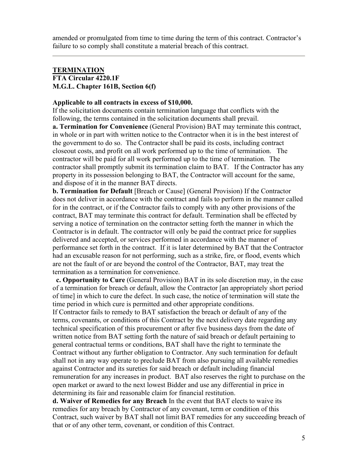amended or promulgated from time to time during the term of this contract. Contractor's failure to so comply shall constitute a material breach of this contract.

### **TERMINATION FTA Circular 4220.1F M.G.L. Chapter 161B, Section 6(f)**

### **Applicable to all contracts in excess of \$10,000.**

If the solicitation documents contain termination language that conflicts with the following, the terms contained in the solicitation documents shall prevail.

**a. Termination for Convenience** (General Provision) BAT may terminate this contract, in whole or in part with written notice to the Contractor when it is in the best interest of the government to do so. The Contractor shall be paid its costs, including contract closeout costs, and profit on all work performed up to the time of termination. The contractor will be paid for all work performed up to the time of termination. The contractor shall promptly submit its termination claim to BAT. If the Contractor has any property in its possession belonging to BAT, the Contractor will account for the same, and dispose of it in the manner BAT directs.

**b. Termination for Default** [Breach or Cause] (General Provision) If the Contractor does not deliver in accordance with the contract and fails to perform in the manner called for in the contract, or if the Contractor fails to comply with any other provisions of the contract, BAT may terminate this contract for default. Termination shall be effected by serving a notice of termination on the contractor setting forth the manner in which the Contractor is in default. The contractor will only be paid the contract price for supplies delivered and accepted, or services performed in accordance with the manner of performance set forth in the contract. If it is later determined by BAT that the Contractor had an excusable reason for not performing, such as a strike, fire, or flood, events which are not the fault of or are beyond the control of the Contractor, BAT, may treat the termination as a termination for convenience.

 **c. Opportunity to Cure** (General Provision) BAT in its sole discretion may, in the case of a termination for breach or default, allow the Contractor [an appropriately short period of time] in which to cure the defect. In such case, the notice of termination will state the time period in which cure is permitted and other appropriate conditions.

If Contractor fails to remedy to BAT satisfaction the breach or default of any of the terms, covenants, or conditions of this Contract by the next delivery date regarding any technical specification of this procurement or after five business days from the date of written notice from BAT setting forth the nature of said breach or default pertaining to general contractual terms or conditions, BAT shall have the right to terminate the Contract without any further obligation to Contractor. Any such termination for default shall not in any way operate to preclude BAT from also pursuing all available remedies against Contractor and its sureties for said breach or default including financial remuneration for any increases in product. BAT also reserves the right to purchase on the open market or award to the next lowest Bidder and use any differential in price in determining its fair and reasonable claim for financial restitution.

**d. Waiver of Remedies for any Breach** In the event that BAT elects to waive its remedies for any breach by Contractor of any covenant, term or condition of this Contract, such waiver by BAT shall not limit BAT remedies for any succeeding breach of that or of any other term, covenant, or condition of this Contract.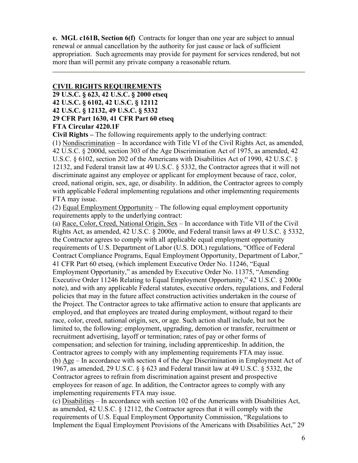**e. MGL c161B, Section 6(f)** Contracts for longer than one year are subject to annual renewal or annual cancellation by the authority for just cause or lack of sufficient appropriation. Such agreements may provide for payment for services rendered, but not more than will permit any private company a reasonable return.

## **CIVIL RIGHTS REQUIREMENTS**

**29 U.S.C. § 623, 42 U.S.C. § 2000 etseq**

- **42 U.S.C. § 6102, 42 U.S.C. § 12112**
- **42 U.S.C. § 12132, 49 U.S.C. § 5332**

## **29 CFR Part 1630, 41 CFR Part 60 etseq**

### **FTA Circular 4220.1F**

**Civil Rights –** The following requirements apply to the underlying contract:

(1) Nondiscrimination – In accordance with Title VI of the Civil Rights Act, as amended, 42 U.S.C. § 2000d, section 303 of the Age Discrimination Act of 1975, as amended, 42 U.S.C. § 6102, section 202 of the Americans with Disabilities Act of 1990, 42 U.S.C. § 12132, and Federal transit law at 49 U.S.C. § 5332, the Contractor agrees that it will not discriminate against any employee or applicant for employment because of race, color, creed, national origin, sex, age, or disability. In addition, the Contractor agrees to comply with applicable Federal implementing regulations and other implementing requirements FTA may issue.

(2) Equal Employment Opportunity – The following equal employment opportunity requirements apply to the underlying contract:

(a) Race, Color, Creed, National Origin, Sex – In accordance with Title VII of the Civil Rights Act, as amended, 42 U.S.C. § 2000e, and Federal transit laws at 49 U.S.C. § 5332, the Contractor agrees to comply with all applicable equal employment opportunity requirements of U.S. Department of Labor (U.S. DOL) regulations, "Office of Federal Contract Compliance Programs, Equal Employment Opportunity, Department of Labor," 41 CFR Part 60 etseq, (which implement Executive Order No. 11246, "Equal Employment Opportunity," as amended by Executive Order No. 11375, "Amending Executive Order 11246 Relating to Equal Employment Opportunity," 42 U.S.C. § 2000e note), and with any applicable Federal statutes, executive orders, regulations, and Federal policies that may in the future affect construction activities undertaken in the course of the Project. The Contractor agrees to take affirmative action to ensure that applicants are employed, and that employees are treated during employment, without regard to their race, color, creed, national origin, sex, or age. Such action shall include, but not be limited to, the following: employment, upgrading, demotion or transfer, recruitment or recruitment advertising, layoff or termination; rates of pay or other forms of compensation; and selection for training, including apprenticeship. In addition, the Contractor agrees to comply with any implementing requirements FTA may issue. (b) Age – In accordance with section 4 of the Age Discrimination in Employment Act of 1967, as amended, 29 U.S.C. § § 623 and Federal transit law at 49 U.S.C. § 5332, the Contractor agrees to refrain from discrimination against present and prospective employees for reason of age. In addition, the Contractor agrees to comply with any implementing requirements FTA may issue.

(c) Disabilities – In accordance with section 102 of the Americans with Disabilities Act, as amended, 42 U.S.C. § 12112, the Contractor agrees that it will comply with the requirements of U.S. Equal Employment Opportunity Commission, "Regulations to Implement the Equal Employment Provisions of the Americans with Disabilities Act," 29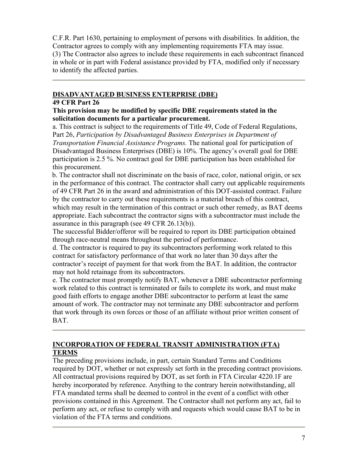C.F.R. Part 1630, pertaining to employment of persons with disabilities. In addition, the Contractor agrees to comply with any implementing requirements FTA may issue. (3) The Contractor also agrees to include these requirements in each subcontract financed in whole or in part with Federal assistance provided by FTA, modified only if necessary to identify the affected parties.

## **DISADVANTAGED BUSINESS ENTERPRISE (DBE)**

### **49 CFR Part 26**

### **This provision may be modified by specific DBE requirements stated in the solicitation documents for a particular procurement.**

a. This contract is subject to the requirements of Title 49, Code of Federal Regulations, Part 26, *Participation by Disadvantaged Business Enterprises in Department of Transportation Financial Assistance Programs.* The national goal for participation of Disadvantaged Business Enterprises (DBE) is 10%. The agency's overall goal for DBE participation is 2.5 %. No contract goal for DBE participation has been established for this procurement.

b. The contractor shall not discriminate on the basis of race, color, national origin, or sex in the performance of this contract. The contractor shall carry out applicable requirements of 49 CFR Part 26 in the award and administration of this DOT-assisted contract. Failure by the contractor to carry out these requirements is a material breach of this contract, which may result in the termination of this contract or such other remedy, as BAT deems appropriate. Each subcontract the contractor signs with a subcontractor must include the assurance in this paragraph (see 49 CFR 26.13(b)).

The successful Bidder/offeror will be required to report its DBE participation obtained through race-neutral means throughout the period of performance.

d. The contractor is required to pay its subcontractors performing work related to this contract for satisfactory performance of that work no later than 30 days after the contractor's receipt of payment for that work from the BAT. In addition, the contractor may not hold retainage from its subcontractors.

e. The contractor must promptly notify BAT, whenever a DBE subcontractor performing work related to this contract is terminated or fails to complete its work, and must make good faith efforts to engage another DBE subcontractor to perform at least the same amount of work. The contractor may not terminate any DBE subcontractor and perform that work through its own forces or those of an affiliate without prior written consent of BAT.

## **INCORPORATION OF FEDERAL TRANSIT ADMINISTRATION (FTA) TERMS**

The preceding provisions include, in part, certain Standard Terms and Conditions required by DOT, whether or not expressly set forth in the preceding contract provisions. All contractual provisions required by DOT, as set forth in FTA Circular 4220.1F are hereby incorporated by reference. Anything to the contrary herein notwithstanding, all FTA mandated terms shall be deemed to control in the event of a conflict with other provisions contained in this Agreement. The Contractor shall not perform any act, fail to perform any act, or refuse to comply with and requests which would cause BAT to be in violation of the FTA terms and conditions.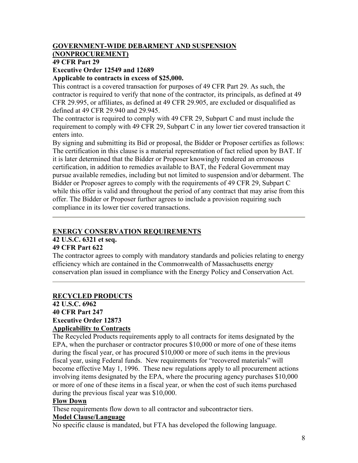# **GOVERNMENT-WIDE DEBARMENT AND SUSPENSION**

# **(NONPROCUREMENT)**

# **49 CFR Part 29**

## **Executive Order 12549 and 12689**

### **Applicable to contracts in excess of \$25,000.**

This contract is a covered transaction for purposes of 49 CFR Part 29. As such, the contractor is required to verify that none of the contractor, its principals, as defined at 49 CFR 29.995, or affiliates, as defined at 49 CFR 29.905, are excluded or disqualified as defined at 49 CFR 29.940 and 29.945.

The contractor is required to comply with 49 CFR 29, Subpart C and must include the requirement to comply with 49 CFR 29, Subpart C in any lower tier covered transaction it enters into.

By signing and submitting its Bid or proposal, the Bidder or Proposer certifies as follows: The certification in this clause is a material representation of fact relied upon by BAT. If it is later determined that the Bidder or Proposer knowingly rendered an erroneous certification, in addition to remedies available to BAT, the Federal Government may pursue available remedies, including but not limited to suspension and/or debarment. The Bidder or Proposer agrees to comply with the requirements of 49 CFR 29, Subpart C while this offer is valid and throughout the period of any contract that may arise from this offer. The Bidder or Proposer further agrees to include a provision requiring such compliance in its lower tier covered transactions.

## **ENERGY CONSERVATION REQUIREMENTS**

## **42 U.S.C. 6321 et seq.**

## **49 CFR Part 622**

The contractor agrees to comply with mandatory standards and policies relating to energy efficiency which are contained in the Commonwealth of Massachusetts energy conservation plan issued in compliance with the Energy Policy and Conservation Act.

## **RECYCLED PRODUCTS**

## **42 U.S.C. 6962 40 CFR Part 247 Executive Order 12873 Applicability to Contracts**

The Recycled Products requirements apply to all contracts for items designated by the EPA, when the purchaser or contractor procures \$10,000 or more of one of these items during the fiscal year, or has procured \$10,000 or more of such items in the previous fiscal year, using Federal funds. New requirements for "recovered materials" will become effective May 1, 1996. These new regulations apply to all procurement actions involving items designated by the EPA, where the procuring agency purchases \$10,000 or more of one of these items in a fiscal year, or when the cost of such items purchased during the previous fiscal year was \$10,000.

## **Flow Down**

These requirements flow down to all contractor and subcontractor tiers.

## **Model Clause/Language**

No specific clause is mandated, but FTA has developed the following language.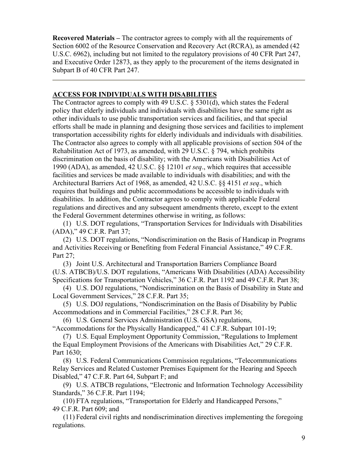**Recovered Materials –** The contractor agrees to comply with all the requirements of Section 6002 of the Resource Conservation and Recovery Act (RCRA), as amended (42 U.S.C. 6962), including but not limited to the regulatory provisions of 40 CFR Part 247, and Executive Order 12873, as they apply to the procurement of the items designated in Subpart B of 40 CFR Part 247.

## **ACCESS FOR INDIVIDUALS WITH DISABILITIES**

The Contractor agrees to comply with 49 U.S.C. § 5301(d), which states the Federal policy that elderly individuals and individuals with disabilities have the same right as other individuals to use public transportation services and facilities, and that special efforts shall be made in planning and designing those services and facilities to implement transportation accessibility rights for elderly individuals and individuals with disabilities. The Contractor also agrees to comply with all applicable provisions of section 504 of the Rehabilitation Act of 1973, as amended, with 29 U.S.C. § 794, which prohibits discrimination on the basis of disability; with the Americans with Disabilities Act of 1990 (ADA), as amended, 42 U.S.C. §§ 12101 *et seq*., which requires that accessible facilities and services be made available to individuals with disabilities; and with the Architectural Barriers Act of 1968, as amended, 42 U.S.C. §§ 4151 *et seq*., which requires that buildings and public accommodations be accessible to individuals with disabilities. In addition, the Contractor agrees to comply with applicable Federal regulations and directives and any subsequent amendments thereto, except to the extent the Federal Government determines otherwise in writing, as follows:

(1) U.S. DOT regulations, "Transportation Services for Individuals with Disabilities (ADA)," 49 C.F.R. Part 37;

(2) U.S. DOT regulations, "Nondiscrimination on the Basis of Handicap in Programs and Activities Receiving or Benefiting from Federal Financial Assistance," 49 C.F.R. Part 27;

(3) Joint U.S. Architectural and Transportation Barriers Compliance Board (U.S. ATBCB)/U.S. DOT regulations, "Americans With Disabilities (ADA) Accessibility Specifications for Transportation Vehicles," 36 C.F.R. Part 1192 and 49 C.F.R. Part 38;

(4) U.S. DOJ regulations, "Nondiscrimination on the Basis of Disability in State and Local Government Services," 28 C.F.R. Part 35;

(5) U.S. DOJ regulations, "Nondiscrimination on the Basis of Disability by Public Accommodations and in Commercial Facilities," 28 C.F.R. Part 36;

(6) U.S. General Services Administration (U.S. GSA) regulations, "Accommodations for the Physically Handicapped," 41 C.F.R. Subpart 101-19;

(7) U.S. Equal Employment Opportunity Commission, "Regulations to Implement the Equal Employment Provisions of the Americans with Disabilities Act," 29 C.F.R. Part 1630;

(8) U.S. Federal Communications Commission regulations, "Telecommunications Relay Services and Related Customer Premises Equipment for the Hearing and Speech Disabled," 47 C.F.R. Part 64, Subpart F; and

(9) U.S. ATBCB regulations, "Electronic and Information Technology Accessibility Standards," 36 C.F.R. Part 1194;

(10) FTA regulations, "Transportation for Elderly and Handicapped Persons," 49 C.F.R. Part 609; and

(11) Federal civil rights and nondiscrimination directives implementing the foregoing regulations.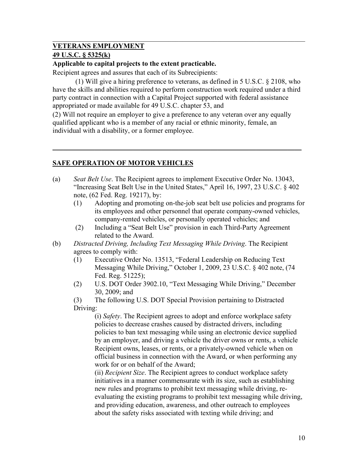## **VETERANS EMPLOYMENT**

## **49 U.S.C. § 5325(k)**

## **Applicable to capital projects to the extent practicable.**

Recipient agrees and assures that each of its Subrecipients:

(1) Will give a hiring preference to veterans, as defined in 5 U.S.C. § 2108, who have the skills and abilities required to perform construction work required under a third party contract in connection with a Capital Project supported with federal assistance appropriated or made available for 49 U.S.C. chapter 53, and

(2) Will not require an employer to give a preference to any veteran over any equally qualified applicant who is a member of any racial or ethnic minority, female, an individual with a disability, or a former employee.

## **SAFE OPERATION OF MOTOR VEHICLES**

(a) *Seat Belt Use*. The Recipient agrees to implement Executive Order No. 13043, "Increasing Seat Belt Use in the United States," April 16, 1997, 23 U.S.C. § 402 note, (62 Fed. Reg. 19217), by:

 $\_$  , and the contribution of the contribution of  $\mathcal{L}_\mathcal{A}$  , and the contribution of  $\mathcal{L}_\mathcal{A}$ 

- (1) Adopting and promoting on-the-job seat belt use policies and programs for its employees and other personnel that operate company-owned vehicles, company-rented vehicles, or personally operated vehicles; and
- (2) Including a "Seat Belt Use" provision in each Third-Party Agreement related to the Award.
- (b) *Distracted Driving, Including Text Messaging While Driving*. The Recipient agrees to comply with:
	- (1) Executive Order No. 13513, "Federal Leadership on Reducing Text Messaging While Driving," October 1, 2009, 23 U.S.C. § 402 note, (74 Fed. Reg. 51225);
	- (2) U.S. DOT Order 3902.10, "Text Messaging While Driving," December 30, 2009; and
	- (3) The following U.S. DOT Special Provision pertaining to Distracted Driving:

(i) *Safety*. The Recipient agrees to adopt and enforce workplace safety policies to decrease crashes caused by distracted drivers, including policies to ban text messaging while using an electronic device supplied by an employer, and driving a vehicle the driver owns or rents, a vehicle Recipient owns, leases, or rents, or a privately-owned vehicle when on official business in connection with the Award, or when performing any work for or on behalf of the Award;

(ii) *Recipient Size*. The Recipient agrees to conduct workplace safety initiatives in a manner commensurate with its size, such as establishing new rules and programs to prohibit text messaging while driving, reevaluating the existing programs to prohibit text messaging while driving, and providing education, awareness, and other outreach to employees about the safety risks associated with texting while driving; and